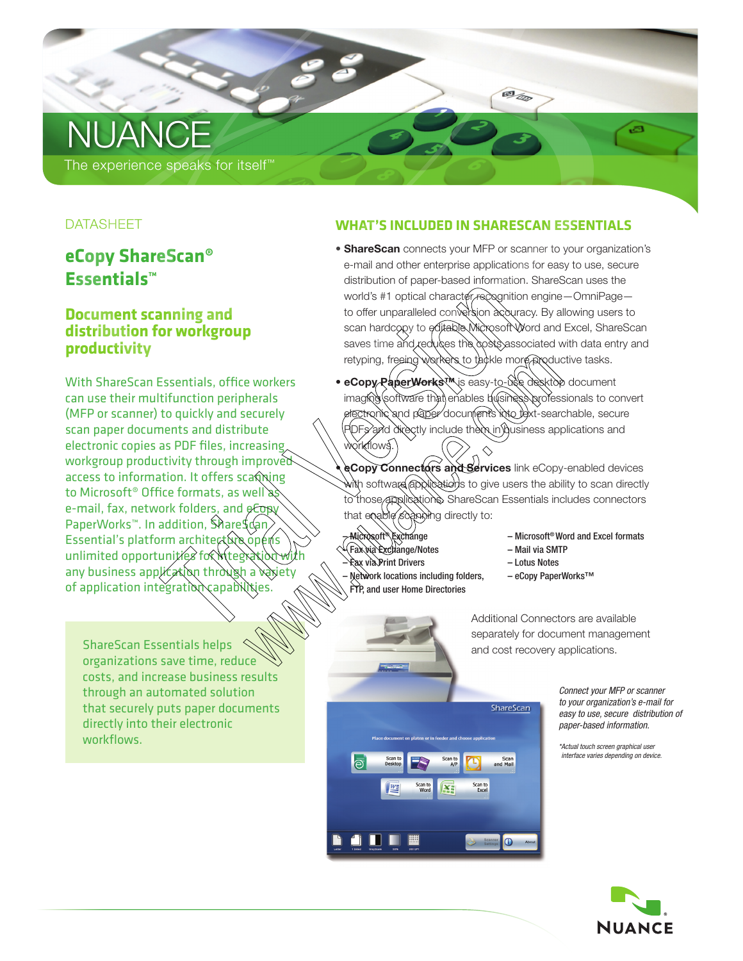# **NUANC**

The experience speaks for itself™

# **DATASHEET**

# **eCopy ShareScan® Essentials™**

# **Document scanning and distribution for workgroup productivity**

With ShareScan Essentials, office workers can use their multifunction peripherals (MFP or scanner) to quickly and securely scan paper documents and distribute electronic copies as PDF files, increasing workgroup productivity through improved access to information. It offers scanning to Microsoft<sup>®</sup> Office formats, as well a e-mail, fax, network folders, and eCopy PaperWorks™. In addition, Stare\$can Essential's platform architective unlimited opportunities for int any business application through of application integration capabilities anning and<br>
words #1 optical character examplificities<br>
or workgroup<br>
for workgroup<br>
for workgroup<br>
for workgroup<br>
for workgroup<br>
for workgroup<br>
for workgroup<br>
for the state mean and conversion about the state for<br>
Essenti

ShareScan Essentials helps organizations save time, reduce costs, and increase business results through an automated solution that securely puts paper documents directly into their electronic workflows.

# **What's included in ShareScan Essentials**

- **ShareScan** connects your MFP or scanner to your organization's e-mail and other enterprise applications for easy to use, secure distribution of paper-based information. ShareScan uses the world's #1 optical character recognition engine - OmniPageto offer unparalleled conversion accuracy. By allowing users to scan hardcopy to editable Microsoft Word and Excel, ShareScan saves time and reduces the costs associated with data entry and retyping, freeing workers to tackle more productive tasks.
- **eCopy PaperWorks™** is easy-to-use desktop document imaging software that enables business professionals to convert paper documents into text-searchable, secure ctly include them in business applications and workflows.\ retyping, freeing workers<br>
example to tackle more produce<br>
therals<br>
imaging software that enables by Green and the correspondence<br>
example of the and paper documents into their and band the paper documents into the search<br>

• **eCopy Connectors and Services** link eCopy-enabled devices th software applications to give users the ability to scan directly tions. ShareScan Essentials includes connectors that enable scanning directly to:

- Fax via Exchange/Notes Mail via SMTP – Fax via Print Drivers – Lotus Notes Network locations including folders, – eCopy PaperWorks™ FTP, and user Home Directories
	- $-$  Microsoft<sup>®</sup> Word and Excel formats
	-
	-

ShareScan

Scan<br>and Mail

Additional Connectors are available separately for document management and cost recovery applications.

> *Connect your MFP or scanner to your organization's e-mail for easy to use, secure distribution of paper-based information.*

*\*Actual touch screen graphical user interface varies depending on device.*